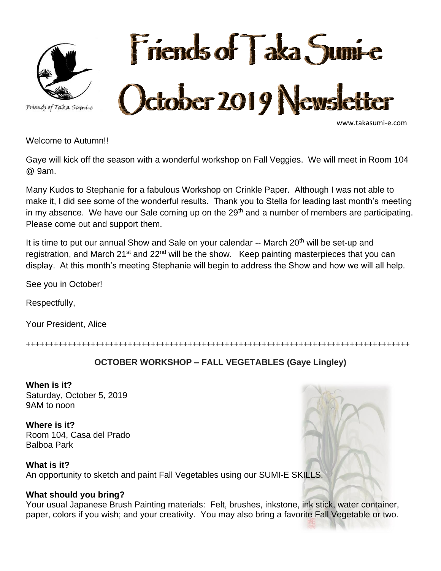



www.takasumi-e.com

Welcome to Autumn!!

Gaye will kick off the season with a wonderful workshop on Fall Veggies. We will meet in Room 104 @ 9am.

Many Kudos to Stephanie for a fabulous Workshop on Crinkle Paper. Although I was not able to make it, I did see some of the wonderful results. Thank you to Stella for leading last month's meeting in my absence. We have our Sale coming up on the  $29<sup>th</sup>$  and a number of members are participating. Please come out and support them.

It is time to put our annual Show and Sale on your calendar  $-$  March 20<sup>th</sup> will be set-up and registration, and March 21<sup>st</sup> and 22<sup>nd</sup> will be the show. Keep painting masterpieces that you can display. At this month's meeting Stephanie will begin to address the Show and how we will all help.

See you in October!

Respectfully,

Your President, Alice

+++++++++++++++++++++++++++++++++++++++++++++++++++++++++++++++++++++++++++++++++++

#### **OCTOBER WORKSHOP – FALL VEGETABLES (Gaye Lingley)**

**When is it?** Saturday, October 5, 2019 9AM to noon

**Where is it?** Room 104, Casa del Prado Balboa Park

**What is it?** An opportunity to sketch and paint Fall Vegetables using our SUMI-E SKILLS.

#### **What should you bring?**

Your usual Japanese Brush Painting materials: Felt, brushes, inkstone, ink stick, water container, paper, colors if you wish; and your creativity. You may also bring a favorite Fall Vegetable or two.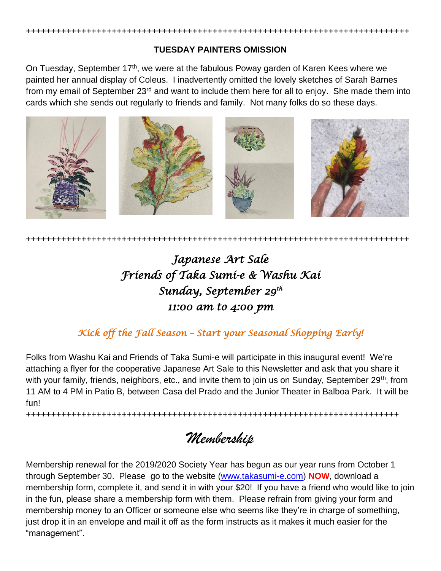

++++++++++++++++++++++++++++++++++++++++++++++++++++++++++++++++++++++++++++

On Tuesday, September 17<sup>th</sup>, we were at the fabulous Poway garden of Karen Kees where we painted her annual display of Coleus. I inadvertently omitted the lovely sketches of Sarah Barnes from my email of September 23<sup>rd</sup> and want to include them here for all to enjoy. She made them into cards which she sends out regularly to friends and family. Not many folks do so these days.



++++++++++++++++++++++++++++++++++++++++++++++++++++++++++++++++++++++++++++

# *Japanese Art Sale Friends of Taka Sumi-e & Washu Kai Sunday, September 29th 11:00 am to 4:00 pm*

### *Kick off the Fall Season – Start your Seasonal Shopping Early!*

Folks from Washu Kai and Friends of Taka Sumi-e will participate in this inaugural event! We're attaching a flyer for the cooperative Japanese Art Sale to this Newsletter and ask that you share it with your family, friends, neighbors, etc., and invite them to join us on Sunday, September 29<sup>th</sup>, from 11 AM to 4 PM in Patio B, between Casa del Prado and the Junior Theater in Balboa Park. It will be fun!

++++++++++++++++++++++++++++++++++++++++++++++++++++++++++++++++++++++++++

*Membership*

Membership renewal for the 2019/2020 Society Year has begun as our year runs from October 1 through September 30. Please go to the website [\(www.takasumi-e.com\)](http://www.takasumi-e.com/) **NOW**, download a membership form, complete it, and send it in with your \$20! If you have a friend who would like to join in the fun, please share a membership form with them. Please refrain from giving your form and membership money to an Officer or someone else who seems like they're in charge of something, just drop it in an envelope and mail it off as the form instructs as it makes it much easier for the "management".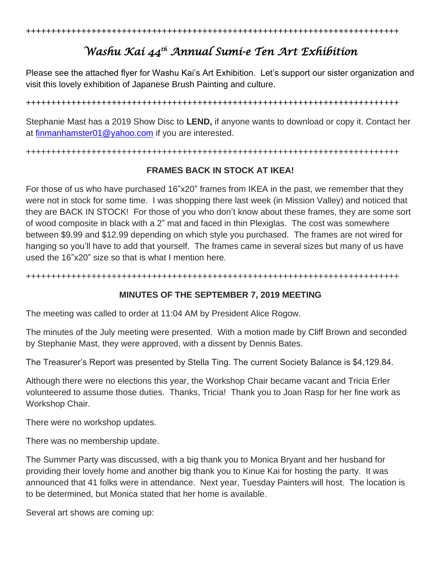## *Washu Kai 44th Annual Sumi-e Ten Art Exhibition*

Please see the attached flyer for Washu Kai's Art Exhibition. Let's support our sister organization and visit this lovely exhibition of Japanese Brush Painting and culture.

++++++++++++++++++++++++++++++++++++++++++++++++++++++++++++++++++++++++++

Stephanie Mast has a 2019 Show Disc to **LEND,** if anyone wants to download or copy it. Contact her at [finmanhamster01@yahoo.com](mailto:finmanhamster01@yahoo.com) if you are interested.

++++++++++++++++++++++++++++++++++++++++++++++++++++++++++++++++++++++++++

#### **FRAMES BACK IN STOCK AT IKEA!**

For those of us who have purchased 16"x20" frames from IKEA in the past, we remember that they were not in stock for some time. I was shopping there last week (in Mission Valley) and noticed that they are BACK IN STOCK! For those of you who don't know about these frames, they are some sort of wood composite in black with a 2" mat and faced in thin Plexiglas. The cost was somewhere between \$9.99 and \$12.99 depending on which style you purchased. The frames are not wired for hanging so you'll have to add that yourself. The frames came in several sizes but many of us have used the 16"x20" size so that is what I mention here.

++++++++++++++++++++++++++++++++++++++++++++++++++++++++++++++++++++++++++

#### **MINUTES OF THE SEPTEMBER 7, 2019 MEETING**

The meeting was called to order at 11:04 AM by President Alice Rogow.

The minutes of the July meeting were presented. With a motion made by Cliff Brown and seconded by Stephanie Mast, they were approved, with a dissent by Dennis Bates.

The Treasurer's Report was presented by Stella Ting. The current Society Balance is \$4,129.84.

Although there were no elections this year, the Workshop Chair became vacant and Tricia Erler volunteered to assume those duties. Thanks, Tricia! Thank you to Joan Rasp for her fine work as Workshop Chair.

There were no workshop updates.

There was no membership update.

The Summer Party was discussed, with a big thank you to Monica Bryant and her husband for providing their lovely home and another big thank you to Kinue Kai for hosting the party. It was announced that 41 folks were in attendance. Next year, Tuesday Painters will host. The location is to be determined, but Monica stated that her home is available.

Several art shows are coming up: